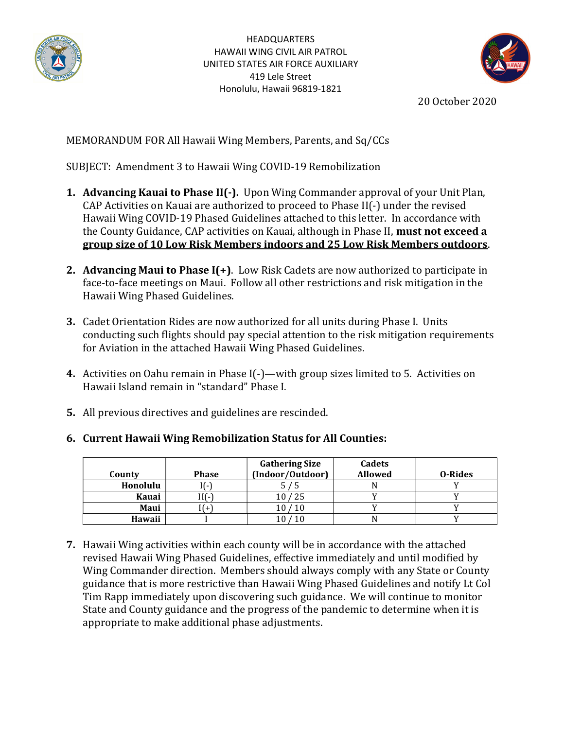

**HEADQUARTERS** HAWAII WING CIVIL AIR PATROL UNITED STATES AIR FORCE AUXILIARY 419 Lele Street Honolulu, Hawaii 96819-1821



20 October 2020

## MEMORANDUM FOR All Hawaii Wing Members, Parents, and Sq/CCs

SUBJECT: Amendment 3 to Hawaii Wing COVID-19 Remobilization

- 1. Advancing Kauai to Phase II(-). Upon Wing Commander approval of your Unit Plan, CAP Activities on Kauai are authorized to proceed to Phase II(-) under the revised Hawaii Wing COVID-19 Phased Guidelines attached to this letter. In accordance with the County Guidance, CAP activities on Kauai, although in Phase II, **must not exceed a** group size of 10 Low Risk Members indoors and 25 Low Risk Members outdoors.
- 2. Advancing Maui to Phase  $I(+)$ . Low Risk Cadets are now authorized to participate in face-to-face meetings on Maui. Follow all other restrictions and risk mitigation in the Hawaii Wing Phased Guidelines.
- 3. Cadet Orientation Rides are now authorized for all units during Phase I. Units conducting such flights should pay special attention to the risk mitigation requirements for Aviation in the attached Hawaii Wing Phased Guidelines.
- 4. Activities on Oahu remain in Phase I(-)—with group sizes limited to 5. Activities on Hawaii Island remain in "standard" Phase I.
- 5. All previous directives and guidelines are rescinded.

| County   | <b>Phase</b>             | <b>Gathering Size</b><br>(Indoor/Outdoor) | Cadets<br><b>Allowed</b> | 0-Rides |
|----------|--------------------------|-------------------------------------------|--------------------------|---------|
| Honolulu | $\overline{\phantom{0}}$ |                                           |                          |         |
| Kauai    | [][-]                    | 25                                        |                          |         |
| Maui     |                          | 10                                        |                          |         |
| Hawaii   |                          |                                           |                          |         |

6. Current Hawaii Wing Remobilization Status for All Counties:

7. Hawaii Wing activities within each county will be in accordance with the attached revised Hawaii Wing Phased Guidelines, effective immediately and until modified by Wing Commander direction. Members should always comply with any State or County guidance that is more restrictive than Hawaii Wing Phased Guidelines and notify Lt Col Tim Rapp immediately upon discovering such guidance. We will continue to monitor State and County guidance and the progress of the pandemic to determine when it is appropriate to make additional phase adjustments.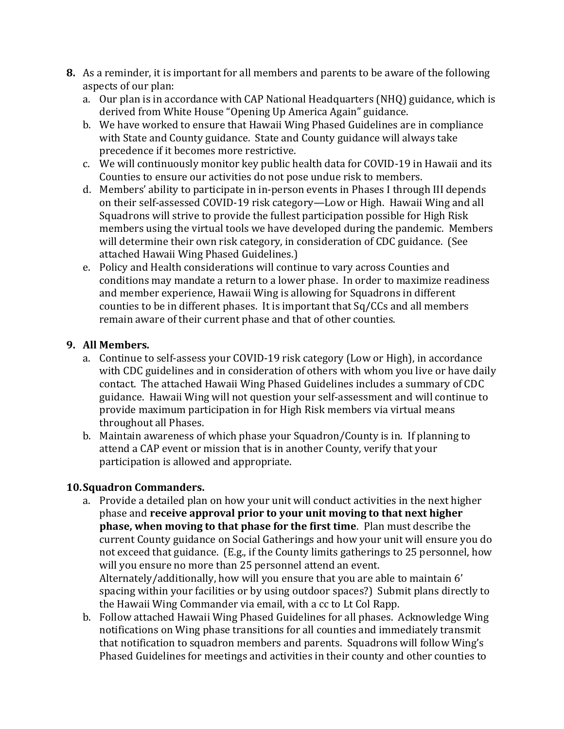- 8. As a reminder, it is important for all members and parents to be aware of the following aspects of our plan:
	- a. Our plan is in accordance with CAP National Headquarters (NHQ) guidance, which is derived from White House "Opening Up America Again" guidance.
	- b. We have worked to ensure that Hawaii Wing Phased Guidelines are in compliance with State and County guidance. State and County guidance will always take precedence if it becomes more restrictive.
	- c. We will continuously monitor key public health data for COVID-19 in Hawaii and its Counties to ensure our activities do not pose undue risk to members.
	- d. Members' ability to participate in in-person events in Phases I through III depends on their self-assessed COVID-19 risk category—Low or High. Hawaii Wing and all Squadrons will strive to provide the fullest participation possible for High Risk members using the virtual tools we have developed during the pandemic. Members will determine their own risk category, in consideration of CDC guidance. (See attached Hawaii Wing Phased Guidelines.)
	- e. Policy and Health considerations will continue to vary across Counties and conditions may mandate a return to a lower phase. In order to maximize readiness and member experience, Hawaii Wing is allowing for Squadrons in different counties to be in different phases. It is important that Sq/CCs and all members remain aware of their current phase and that of other counties.

## 9. All Members.

- a. Continue to self-assess your COVID-19 risk category (Low or High), in accordance with CDC guidelines and in consideration of others with whom you live or have daily contact. The attached Hawaii Wing Phased Guidelines includes a summary of CDC guidance. Hawaii Wing will not question your self-assessment and will continue to provide maximum participation in for High Risk members via virtual means throughout all Phases.
- b. Maintain awareness of which phase your Squadron/County is in. If planning to attend a CAP event or mission that is in another County, verify that your participation is allowed and appropriate.

## 10.Squadron Commanders.

- a. Provide a detailed plan on how your unit will conduct activities in the next higher phase and receive approval prior to your unit moving to that next higher phase, when moving to that phase for the first time. Plan must describe the current County guidance on Social Gatherings and how your unit will ensure you do not exceed that guidance. (E.g., if the County limits gatherings to 25 personnel, how will you ensure no more than 25 personnel attend an event. Alternately/additionally, how will you ensure that you are able to maintain 6' spacing within your facilities or by using outdoor spaces?) Submit plans directly to the Hawaii Wing Commander via email, with a cc to Lt Col Rapp.
- b. Follow attached Hawaii Wing Phased Guidelines for all phases. Acknowledge Wing notifications on Wing phase transitions for all counties and immediately transmit that notification to squadron members and parents. Squadrons will follow Wing's Phased Guidelines for meetings and activities in their county and other counties to